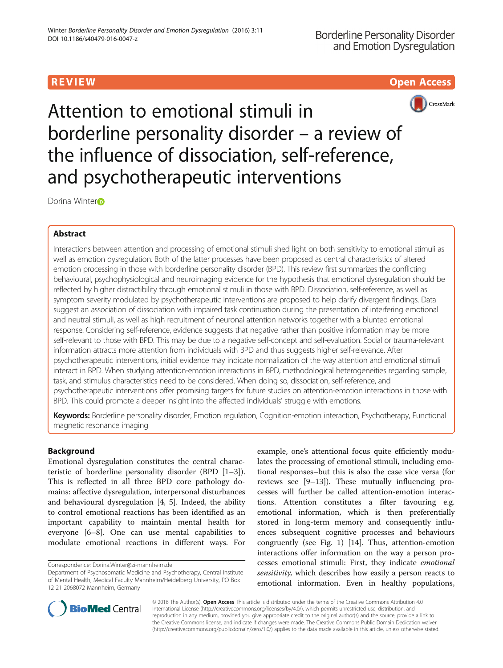# R EVI EW Open Access



Attention to emotional stimuli in borderline personality disorder – a review of the influence of dissociation, self-reference, and psychotherapeutic interventions

Do[r](http://orcid.org/0000-0002-5096-7995)ina Winter<sub>D</sub>

# Abstract

Interactions between attention and processing of emotional stimuli shed light on both sensitivity to emotional stimuli as well as emotion dysregulation. Both of the latter processes have been proposed as central characteristics of altered emotion processing in those with borderline personality disorder (BPD). This review first summarizes the conflicting behavioural, psychophysiological and neuroimaging evidence for the hypothesis that emotional dysregulation should be reflected by higher distractibility through emotional stimuli in those with BPD. Dissociation, self-reference, as well as symptom severity modulated by psychotherapeutic interventions are proposed to help clarify divergent findings. Data suggest an association of dissociation with impaired task continuation during the presentation of interfering emotional and neutral stimuli, as well as high recruitment of neuronal attention networks together with a blunted emotional response. Considering self-reference, evidence suggests that negative rather than positive information may be more self-relevant to those with BPD. This may be due to a negative self-concept and self-evaluation. Social or trauma-relevant information attracts more attention from individuals with BPD and thus suggests higher self-relevance. After psychotherapeutic interventions, initial evidence may indicate normalization of the way attention and emotional stimuli interact in BPD. When studying attention-emotion interactions in BPD, methodological heterogeneities regarding sample, task, and stimulus characteristics need to be considered. When doing so, dissociation, self-reference, and psychotherapeutic interventions offer promising targets for future studies on attention-emotion interactions in those with BPD. This could promote a deeper insight into the affected individuals' struggle with emotions.

Keywords: Borderline personality disorder, Emotion regulation, Cognition-emotion interaction, Psychotherapy, Functional magnetic resonance imaging

# Background

Emotional dysregulation constitutes the central characteristic of borderline personality disorder (BPD [\[1](#page-7-0)–[3](#page-7-0)]). This is reflected in all three BPD core pathology domains: affective dysregulation, interpersonal disturbances and behavioural dysregulation [\[4](#page-7-0), [5](#page-7-0)]. Indeed, the ability to control emotional reactions has been identified as an important capability to maintain mental health for everyone [[6](#page-7-0)–[8\]](#page-7-0). One can use mental capabilities to modulate emotional reactions in different ways. For

example, one's attentional focus quite efficiently modulates the processing of emotional stimuli, including emotional responses–but this is also the case vice versa (for reviews see [\[9](#page-7-0)–[13](#page-7-0)]). These mutually influencing processes will further be called attention-emotion interactions. Attention constitutes a filter favouring e.g. emotional information, which is then preferentially stored in long-term memory and consequently influences subsequent cognitive processes and behaviours congruently (see Fig. [1](#page-1-0)) [[14](#page-7-0)]. Thus, attention-emotion interactions offer information on the way a person processes emotional stimuli: First, they indicate emotional sensitivity, which describes how easily a person reacts to emotional information. Even in healthy populations,



© 2016 The Author(s). Open Access This article is distributed under the terms of the Creative Commons Attribution 4.0 International License [\(http://creativecommons.org/licenses/by/4.0/](http://creativecommons.org/licenses/by/4.0/)), which permits unrestricted use, distribution, and reproduction in any medium, provided you give appropriate credit to the original author(s) and the source, provide a link to the Creative Commons license, and indicate if changes were made. The Creative Commons Public Domain Dedication waiver [\(http://creativecommons.org/publicdomain/zero/1.0/](http://creativecommons.org/publicdomain/zero/1.0/)) applies to the data made available in this article, unless otherwise stated.

Correspondence: [Dorina.Winter@zi-mannheim.de](mailto:Dorina.Winter@zi-mannheim.de)

Department of Psychosomatic Medicine and Psychotherapy, Central Institute of Mental Health, Medical Faculty Mannheim/Heidelberg University, PO Box 12 21 2068072 Mannheim, Germany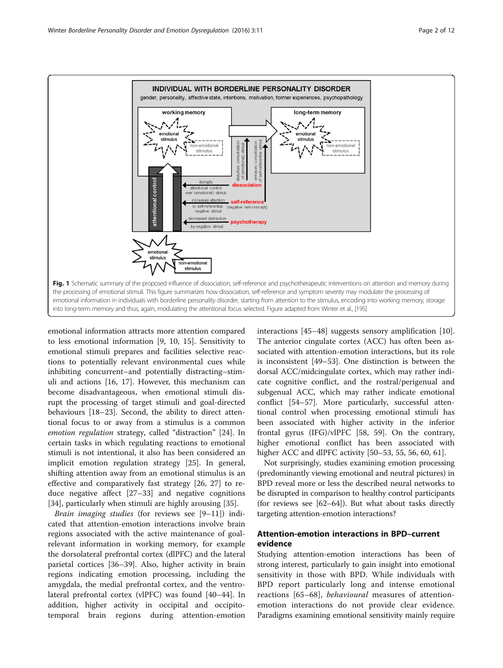<span id="page-1-0"></span>

emotional information attracts more attention compared to less emotional information [\[9](#page-7-0), [10, 15\]](#page-7-0). Sensitivity to emotional stimuli prepares and facilities selective reactions to potentially relevant environmental cues while inhibiting concurrent–and potentially distracting–stimuli and actions [\[16](#page-7-0), [17\]](#page-7-0). However, this mechanism can become disadvantageous, when emotional stimuli disrupt the processing of target stimuli and goal-directed behaviours [\[18](#page-7-0)–[23\]](#page-7-0). Second, the ability to direct attentional focus to or away from a stimulus is a common emotion regulation strategy, called "distraction" [\[24](#page-7-0)]. In certain tasks in which regulating reactions to emotional stimuli is not intentional, it also has been considered an implicit emotion regulation strategy [[25](#page-7-0)]. In general, shifting attention away from an emotional stimulus is an effective and comparatively fast strategy [[26, 27\]](#page-7-0) to reduce negative affect [[27](#page-7-0)–[33](#page-7-0)] and negative cognitions [[34\]](#page-7-0), particularly when stimuli are highly arousing [\[35](#page-7-0)].

Brain imaging studies (for reviews see [\[9](#page-7-0)–[11\]](#page-7-0)) indicated that attention-emotion interactions involve brain regions associated with the active maintenance of goalrelevant information in working memory, for example the dorsolateral prefrontal cortex (dlPFC) and the lateral parietal cortices [\[36](#page-7-0)–[39\]](#page-7-0). Also, higher activity in brain regions indicating emotion processing, including the amygdala, the medial prefrontal cortex, and the ventrolateral prefrontal cortex (vlPFC) was found [[40](#page-7-0)–[44](#page-7-0)]. In addition, higher activity in occipital and occipitotemporal brain regions during attention-emotion

interactions [[45](#page-7-0)–[48](#page-8-0)] suggests sensory amplification [\[10](#page-7-0)]. The anterior cingulate cortex (ACC) has often been associated with attention-emotion interactions, but its role is inconsistent [\[49](#page-8-0)–[53\]](#page-8-0). One distinction is between the dorsal ACC/midcingulate cortex, which may rather indicate cognitive conflict, and the rostral/perigenual and subgenual ACC, which may rather indicate emotional conflict [\[54](#page-8-0)–[57\]](#page-8-0). More particularly, successful attentional control when processing emotional stimuli has been associated with higher activity in the inferior frontal gyrus (IFG)/vlPFC [[58, 59\]](#page-8-0). On the contrary, higher emotional conflict has been associated with higher ACC and dlPFC activity [[50](#page-8-0)–[53, 55](#page-8-0), [56](#page-8-0), [60](#page-8-0), [61](#page-8-0)].

Not surprisingly, studies examining emotion processing (predominantly viewing emotional and neutral pictures) in BPD reveal more or less the described neural networks to be disrupted in comparison to healthy control participants (for reviews see [\[62](#page-8-0)–[64\]](#page-8-0)). But what about tasks directly targeting attention-emotion interactions?

## Attention-emotion interactions in BPD–current evidence

Studying attention-emotion interactions has been of strong interest, particularly to gain insight into emotional sensitivity in those with BPD. While individuals with BPD report particularly long and intense emotional reactions [\[65](#page-8-0)–[68](#page-8-0)], *behavioural* measures of attentionemotion interactions do not provide clear evidence. Paradigms examining emotional sensitivity mainly require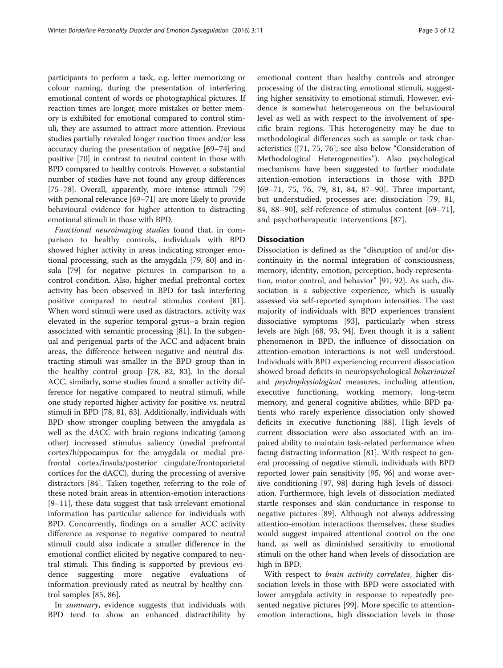participants to perform a task, e.g. letter memorizing or colour naming, during the presentation of interfering emotional content of words or photographical pictures. If reaction times are longer, more mistakes or better memory is exhibited for emotional compared to control stimuli, they are assumed to attract more attention. Previous studies partially revealed longer reaction times and/or less accuracy during the presentation of negative [\[69](#page-8-0)–[74](#page-8-0)] and positive [\[70\]](#page-8-0) in contrast to neutral content in those with BPD compared to healthy controls. However, a substantial number of studies have not found any group differences [[75](#page-8-0)–[78\]](#page-8-0). Overall, apparently, more intense stimuli [[79](#page-8-0)] with personal relevance [[69](#page-8-0)–[71\]](#page-8-0) are more likely to provide behavioural evidence for higher attention to distracting emotional stimuli in those with BPD.

Functional neuroimaging studies found that, in comparison to healthy controls, individuals with BPD showed higher activity in areas indicating stronger emotional processing, such as the amygdala [\[79](#page-8-0), [80\]](#page-8-0) and insula [[79\]](#page-8-0) for negative pictures in comparison to a control condition. Also, higher medial prefrontal cortex activity has been observed in BPD for task interfering positive compared to neutral stimulus content [\[81](#page-8-0)]. When word stimuli were used as distractors, activity was elevated in the superior temporal gyrus–a brain region associated with semantic processing [[81](#page-8-0)]. In the subgenual and perigenual parts of the ACC and adjacent brain areas, the difference between negative and neutral distracting stimuli was smaller in the BPD group than in the healthy control group [[78, 82, 83](#page-8-0)]. In the dorsal ACC, similarly, some studies found a smaller activity difference for negative compared to neutral stimuli, while one study reported higher activity for positive vs. neutral stimuli in BPD [[78, 81, 83](#page-8-0)]. Additionally, individuals with BPD show stronger coupling between the amygdala as well as the dACC with brain regions indicating (among other) increased stimulus saliency (medial prefrontal cortex/hippocampus for the amygdala or medial prefrontal cortex/insula/posterior cingulate/frontoparietal cortices for the dACC), during the processing of aversive distractors [[84\]](#page-8-0). Taken together, referring to the role of these noted brain areas in attention-emotion interactions [[9](#page-7-0)–[11\]](#page-7-0), these data suggest that task-irrelevant emotional information has particular salience for individuals with BPD. Concurrently, findings on a smaller ACC activity difference as response to negative compared to neutral stimuli could also indicate a smaller difference in the emotional conflict elicited by negative compared to neutral stimuli. This finding is supported by previous evidence suggesting more negative evaluations of information previously rated as neutral by healthy control samples [[85](#page-8-0), [86](#page-8-0)].

In *summary*, evidence suggests that individuals with BPD tend to show an enhanced distractibility by

emotional content than healthy controls and stronger processing of the distracting emotional stimuli, suggesting higher sensitivity to emotional stimuli. However, evidence is somewhat heterogeneous on the behavioural level as well as with respect to the involvement of specific brain regions. This heterogeneity may be due to methodological differences such as sample or task characteristics ([[71](#page-8-0), [75, 76](#page-8-0)]; see also below "Consideration of Methodological Heterogeneities"). Also psychological mechanisms have been suggested to further modulate attention-emotion interactions in those with BPD [[69](#page-8-0)–[71, 75](#page-8-0), [76, 79](#page-8-0), [81](#page-8-0), [84,](#page-8-0) [87](#page-9-0)–[90](#page-9-0)]. Three important, but understudied, processes are: dissociation [[79, 81](#page-8-0), [84,](#page-8-0) [88](#page-9-0)–[90\]](#page-9-0), self-reference of stimulus content [[69](#page-8-0)–[71](#page-8-0)], and psychotherapeutic interventions [[87\]](#page-9-0).

### Dissociation

Dissociation is defined as the "disruption of and/or discontinuity in the normal integration of consciousness, memory, identity, emotion, perception, body representation, motor control, and behavior" [\[91, 92\]](#page-9-0). As such, dissociation is a subjective experience, which is usually assessed via self-reported symptom intensities. The vast majority of individuals with BPD experiences transient dissociative symptoms [[93](#page-9-0)], particularly when stress levels are high [\[68](#page-8-0), [93, 94\]](#page-9-0). Even though it is a salient phenomenon in BPD, the influence of dissociation on attention-emotion interactions is not well understood. Individuals with BPD experiencing recurrent dissociation showed broad deficits in neuropsychological behavioural and *psychophysiological* measures, including attention, executive functioning, working memory, long-term memory, and general cognitive abilities, while BPD patients who rarely experience dissociation only showed deficits in executive functioning [[88](#page-9-0)]. High levels of current dissociation were also associated with an impaired ability to maintain task-related performance when facing distracting information [[81\]](#page-8-0). With respect to general processing of negative stimuli, individuals with BPD reported lower pain sensitivity [[95, 96\]](#page-9-0) and worse aversive conditioning [\[97, 98\]](#page-9-0) during high levels of dissociation. Furthermore, high levels of dissociation mediated startle responses and skin conductance in response to negative pictures [\[89](#page-9-0)]. Although not always addressing attention-emotion interactions themselves, these studies would suggest impaired attentional control on the one hand, as well as diminished sensitivity to emotional stimuli on the other hand when levels of dissociation are high in BPD.

With respect to brain activity correlates, higher dissociation levels in those with BPD were associated with lower amygdala activity in response to repeatedly presented negative pictures [[99\]](#page-9-0). More specific to attentionemotion interactions, high dissociation levels in those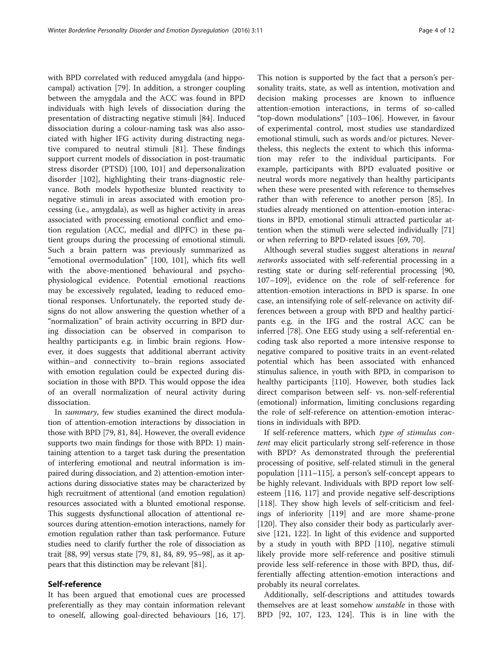with BPD correlated with reduced amygdala (and hippocampal) activation [\[79\]](#page-8-0). In addition, a stronger coupling between the amygdala and the ACC was found in BPD individuals with high levels of dissociation during the presentation of distracting negative stimuli [[84\]](#page-8-0). Induced dissociation during a colour-naming task was also associated with higher IFG activity during distracting negative compared to neutral stimuli [[81](#page-8-0)]. These findings support current models of dissociation in post-traumatic stress disorder (PTSD) [[100, 101](#page-9-0)] and depersonalization disorder [\[102](#page-9-0)], highlighting their trans-diagnostic relevance. Both models hypothesize blunted reactivity to negative stimuli in areas associated with emotion processing (i.e., amygdala), as well as higher activity in areas associated with processing emotional conflict and emotion regulation (ACC, medial and dlPFC) in these patient groups during the processing of emotional stimuli. Such a brain pattern was previously summarized as "emotional overmodulation" [[100, 101](#page-9-0)], which fits well with the above-mentioned behavioural and psychophysiological evidence. Potential emotional reactions may be excessively regulated, leading to reduced emotional responses. Unfortunately, the reported study designs do not allow answering the question whether of a "normalization" of brain activity occurring in BPD during dissociation can be observed in comparison to healthy participants e.g. in limbic brain regions. However, it does suggests that additional aberrant activity within–and connectivity to–brain regions associated with emotion regulation could be expected during dissociation in those with BPD. This would oppose the idea of an overall normalization of neural activity during dissociation.

In summary, few studies examined the direct modulation of attention-emotion interactions by dissociation in those with BPD [\[79, 81, 84](#page-8-0)]. However, the overall evidence supports two main findings for those with BPD: 1) maintaining attention to a target task during the presentation of interfering emotional and neutral information is impaired during dissociation, and 2) attention-emotion interactions during dissociative states may be characterized by high recruitment of attentional (and emotion regulation) resources associated with a blunted emotional response. This suggests dysfunctional allocation of attentional resources during attention-emotion interactions, namely for emotion regulation rather than task performance. Future studies need to clarify further the role of dissociation as trait [[88](#page-9-0), [99](#page-9-0)] versus state [[79](#page-8-0), [81](#page-8-0), [84](#page-8-0), [89](#page-9-0), [95](#page-9-0)–[98\]](#page-9-0), as it appears that this distinction may be relevant [[81](#page-8-0)].

### Self-reference

It has been argued that emotional cues are processed preferentially as they may contain information relevant to oneself, allowing goal-directed behaviours [[16, 17](#page-7-0)].

This notion is supported by the fact that a person's personality traits, state, as well as intention, motivation and decision making processes are known to influence attention-emotion interactions, in terms of so-called "top-down modulations" [[103](#page-9-0)–[106](#page-9-0)]. However, in favour of experimental control, most studies use standardized emotional stimuli, such as words and/or pictures. Nevertheless, this neglects the extent to which this information may refer to the individual participants. For example, participants with BPD evaluated positive or neutral words more negatively than healthy participants when these were presented with reference to themselves rather than with reference to another person [[85](#page-8-0)]. In studies already mentioned on attention-emotion interactions in BPD, emotional stimuli attracted particular attention when the stimuli were selected individually [[71](#page-8-0)] or when referring to BPD-related issues [\[69](#page-8-0), [70](#page-8-0)].

Although several studies suggest alterations in neural networks associated with self-referential processing in a resting state or during self-referential processing [[90](#page-9-0), [107](#page-9-0)–[109](#page-9-0)], evidence on the role of self-reference for attention-emotion interactions in BPD is sparse. In one case, an intensifying role of self-relevance on activity differences between a group with BPD and healthy participants e.g. in the IFG and the rostral ACC can be inferred [[78](#page-8-0)]. One EEG study using a self-referential encoding task also reported a more intensive response to negative compared to positive traits in an event-related potential which has been associated with enhanced stimulus salience, in youth with BPD, in comparison to healthy participants [\[110\]](#page-9-0). However, both studies lack direct comparison between self- vs. non-self-referential (emotional) information, limiting conclusions regarding the role of self-reference on attention-emotion interactions in individuals with BPD.

If self-reference matters, which type of stimulus content may elicit particularly strong self-reference in those with BPD? As demonstrated through the preferential processing of positive, self-related stimuli in the general population [\[111](#page-9-0)–[115\]](#page-9-0), a person's self-concept appears to be highly relevant. Individuals with BPD report low selfesteem [[116, 117](#page-9-0)] and provide negative self-descriptions [[118\]](#page-9-0). They show high levels of self-criticism and feelings of inferiority [\[119\]](#page-9-0) and are more shame-prone [[120\]](#page-9-0). They also consider their body as particularly aversive [\[121, 122\]](#page-9-0). In light of this evidence and supported by a study in youth with BPD [[110](#page-9-0)], negative stimuli likely provide more self-reference and positive stimuli provide less self-reference in those with BPD, thus, differentially affecting attention-emotion interactions and probably its neural correlates.

Additionally, self-descriptions and attitudes towards themselves are at least somehow unstable in those with BPD [\[92](#page-9-0), [107, 123](#page-9-0), [124](#page-9-0)]. This is in line with the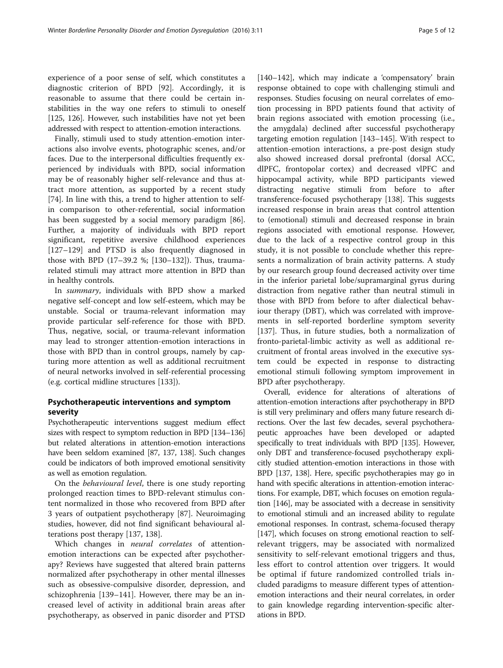experience of a poor sense of self, which constitutes a diagnostic criterion of BPD [[92\]](#page-9-0). Accordingly, it is reasonable to assume that there could be certain instabilities in the way one refers to stimuli to oneself [[125](#page-9-0), [126\]](#page-9-0). However, such instabilities have not yet been addressed with respect to attention-emotion interactions.

Finally, stimuli used to study attention-emotion interactions also involve events, photographic scenes, and/or faces. Due to the interpersonal difficulties frequently experienced by individuals with BPD, social information may be of reasonably higher self-relevance and thus attract more attention, as supported by a recent study [[74\]](#page-8-0). In line with this, a trend to higher attention to selfin comparison to other-referential, social information has been suggested by a social memory paradigm [\[86](#page-8-0)]. Further, a majority of individuals with BPD report significant, repetitive aversive childhood experiences [[127](#page-9-0)–[129](#page-9-0)] and PTSD is also frequently diagnosed in those with BPD (17–39.2 %; [[130](#page-10-0)–[132](#page-10-0)]). Thus, traumarelated stimuli may attract more attention in BPD than in healthy controls.

In summary, individuals with BPD show a marked negative self-concept and low self-esteem, which may be unstable. Social or trauma-relevant information may provide particular self-reference for those with BPD. Thus, negative, social, or trauma-relevant information may lead to stronger attention-emotion interactions in those with BPD than in control groups, namely by capturing more attention as well as additional recruitment of neural networks involved in self-referential processing (e.g. cortical midline structures [\[133\]](#page-10-0)).

### Psychotherapeutic interventions and symptom severity

Psychotherapeutic interventions suggest medium effect sizes with respect to symptom reduction in BPD [\[134](#page-10-0)–[136](#page-10-0)] but related alterations in attention-emotion interactions have been seldom examined [[87](#page-9-0), [137](#page-10-0), [138](#page-10-0)]. Such changes could be indicators of both improved emotional sensitivity as well as emotion regulation.

On the behavioural level, there is one study reporting prolonged reaction times to BPD-relevant stimulus content normalized in those who recovered from BPD after 3 years of outpatient psychotherapy [\[87\]](#page-9-0). Neuroimaging studies, however, did not find significant behavioural alterations post therapy [\[137, 138\]](#page-10-0).

Which changes in neural correlates of attentionemotion interactions can be expected after psychotherapy? Reviews have suggested that altered brain patterns normalized after psychotherapy in other mental illnesses such as obsessive-compulsive disorder, depression, and schizophrenia [\[139](#page-10-0)–[141\]](#page-10-0). However, there may be an increased level of activity in additional brain areas after psychotherapy, as observed in panic disorder and PTSD

[[140](#page-10-0)–[142](#page-10-0)], which may indicate a 'compensatory' brain response obtained to cope with challenging stimuli and responses. Studies focusing on neural correlates of emotion processing in BPD patients found that activity of brain regions associated with emotion processing (i.e., the amygdala) declined after successful psychotherapy targeting emotion regulation [\[143](#page-10-0)–[145\]](#page-10-0). With respect to attention-emotion interactions, a pre-post design study also showed increased dorsal prefrontal (dorsal ACC, dlPFC, frontopolar cortex) and decreased vlPFC and hippocampal activity, while BPD participants viewed distracting negative stimuli from before to after transference-focused psychotherapy [\[138\]](#page-10-0). This suggests increased response in brain areas that control attention to (emotional) stimuli and decreased response in brain regions associated with emotional response. However, due to the lack of a respective control group in this study, it is not possible to conclude whether this represents a normalization of brain activity patterns. A study by our research group found decreased activity over time in the inferior parietal lobe/supramarginal gyrus during distraction from negative rather than neutral stimuli in those with BPD from before to after dialectical behaviour therapy (DBT), which was correlated with improvements in self-reported borderline symptom severity [[137\]](#page-10-0). Thus, in future studies, both a normalization of fronto-parietal-limbic activity as well as additional recruitment of frontal areas involved in the executive system could be expected in response to distracting emotional stimuli following symptom improvement in BPD after psychotherapy.

Overall, evidence for alterations of alterations of attention-emotion interactions after psychotherapy in BPD is still very preliminary and offers many future research directions. Over the last few decades, several psychotherapeutic approaches have been developed or adapted specifically to treat individuals with BPD [\[135\]](#page-10-0). However, only DBT and transference-focused psychotherapy explicitly studied attention-emotion interactions in those with BPD [[137, 138\]](#page-10-0). Here, specific psychotherapies may go in hand with specific alterations in attention-emotion interactions. For example, DBT, which focuses on emotion regulation [[146\]](#page-10-0), may be associated with a decrease in sensitivity to emotional stimuli and an increased ability to regulate emotional responses. In contrast, schema-focused therapy [[147](#page-10-0)], which focuses on strong emotional reaction to selfrelevant triggers, may be associated with normalized sensitivity to self-relevant emotional triggers and thus, less effort to control attention over triggers. It would be optimal if future randomized controlled trials included paradigms to measure different types of attentionemotion interactions and their neural correlates, in order to gain knowledge regarding intervention-specific alterations in BPD.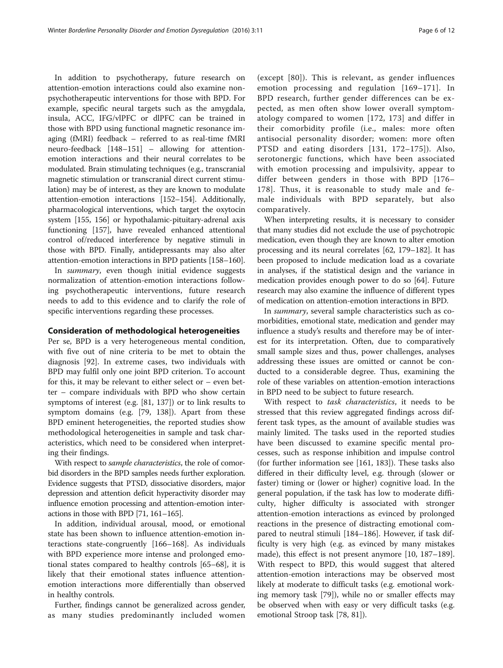In addition to psychotherapy, future research on attention-emotion interactions could also examine nonpsychotherapeutic interventions for those with BPD. For example, specific neural targets such as the amygdala, insula, ACC, IFG/vlPFC or dlPFC can be trained in those with BPD using functional magnetic resonance imaging (fMRI) feedback – referred to as real-time fMRI neuro-feedback [\[148](#page-10-0)–[151\]](#page-10-0) – allowing for attentionemotion interactions and their neural correlates to be modulated. Brain stimulating techniques (e.g., transcranial magnetic stimulation or transcranial direct current stimulation) may be of interest, as they are known to modulate attention-emotion interactions [[152](#page-10-0)–[154\]](#page-10-0). Additionally, pharmacological interventions, which target the oxytocin system [\[155, 156\]](#page-10-0) or hypothalamic-pituitary-adrenal axis functioning [\[157\]](#page-10-0), have revealed enhanced attentional control of/reduced interference by negative stimuli in those with BPD. Finally, antidepressants may also alter attention-emotion interactions in BPD patients [\[158](#page-10-0)–[160](#page-10-0)].

In summary, even though initial evidence suggests normalization of attention-emotion interactions following psychotherapeutic interventions, future research needs to add to this evidence and to clarify the role of specific interventions regarding these processes.

### Consideration of methodological heterogeneities

Per se, BPD is a very heterogeneous mental condition, with five out of nine criteria to be met to obtain the diagnosis [[92](#page-9-0)]. In extreme cases, two individuals with BPD may fulfil only one joint BPD criterion. To account for this, it may be relevant to either select or  $-$  even better – compare individuals with BPD who show certain symptoms of interest (e.g. [\[81,](#page-8-0) [137](#page-10-0)]) or to link results to symptom domains (e.g. [\[79,](#page-8-0) [138\]](#page-10-0)). Apart from these BPD eminent heterogeneities, the reported studies show methodological heterogeneities in sample and task characteristics, which need to be considered when interpreting their findings.

With respect to *sample characteristics*, the role of comorbid disorders in the BPD samples needs further exploration. Evidence suggests that PTSD, dissociative disorders, major depression and attention deficit hyperactivity disorder may influence emotion processing and attention-emotion interactions in those with BPD [\[71](#page-8-0), [161](#page-10-0)–[165](#page-10-0)].

In addition, individual arousal, mood, or emotional state has been shown to influence attention-emotion interactions state-congruently [[166](#page-10-0)–[168](#page-10-0)]. As individuals with BPD experience more intense and prolonged emotional states compared to healthy controls [\[65](#page-8-0)–[68\]](#page-8-0), it is likely that their emotional states influence attentionemotion interactions more differentially than observed in healthy controls.

Further, findings cannot be generalized across gender, as many studies predominantly included women

(except [\[80\]](#page-8-0)). This is relevant, as gender influences emotion processing and regulation [[169](#page-10-0)–[171](#page-10-0)]. In BPD research, further gender differences can be expected, as men often show lower overall symptomatology compared to women [\[172, 173\]](#page-10-0) and differ in their comorbidity profile (i.e., males: more often antisocial personality disorder; women: more often PTSD and eating disorders [[131, 172](#page-10-0)–[175\]](#page-11-0)). Also, serotonergic functions, which have been associated with emotion processing and impulsivity, appear to differ between genders in those with BPD [[176](#page-11-0)– [178](#page-11-0)]. Thus, it is reasonable to study male and female individuals with BPD separately, but also comparatively.

When interpreting results, it is necessary to consider that many studies did not exclude the use of psychotropic medication, even though they are known to alter emotion processing and its neural correlates [\[62,](#page-8-0) [179](#page-11-0)–[182](#page-11-0)]. It has been proposed to include medication load as a covariate in analyses, if the statistical design and the variance in medication provides enough power to do so [[64](#page-8-0)]. Future research may also examine the influence of different types of medication on attention-emotion interactions in BPD.

In summary, several sample characteristics such as comorbidities, emotional state, medication and gender may influence a study's results and therefore may be of interest for its interpretation. Often, due to comparatively small sample sizes and thus, power challenges, analyses addressing these issues are omitted or cannot be conducted to a considerable degree. Thus, examining the role of these variables on attention-emotion interactions in BPD need to be subject to future research.

With respect to task characteristics, it needs to be stressed that this review aggregated findings across different task types, as the amount of available studies was mainly limited. The tasks used in the reported studies have been discussed to examine specific mental processes, such as response inhibition and impulse control (for further information see [\[161,](#page-10-0) [183\]](#page-11-0)). These tasks also differed in their difficulty level, e.g. through (slower or faster) timing or (lower or higher) cognitive load. In the general population, if the task has low to moderate difficulty, higher difficulty is associated with stronger attention-emotion interactions as evinced by prolonged reactions in the presence of distracting emotional compared to neutral stimuli [[184](#page-11-0)–[186](#page-11-0)]. However, if task difficulty is very high (e.g. as evinced by many mistakes made), this effect is not present anymore [\[10](#page-7-0), [187](#page-11-0)–[189](#page-11-0)]. With respect to BPD, this would suggest that altered attention-emotion interactions may be observed most likely at moderate to difficult tasks (e.g. emotional working memory task [[79\]](#page-8-0)), while no or smaller effects may be observed when with easy or very difficult tasks (e.g. emotional Stroop task [\[78](#page-8-0), [81\]](#page-8-0)).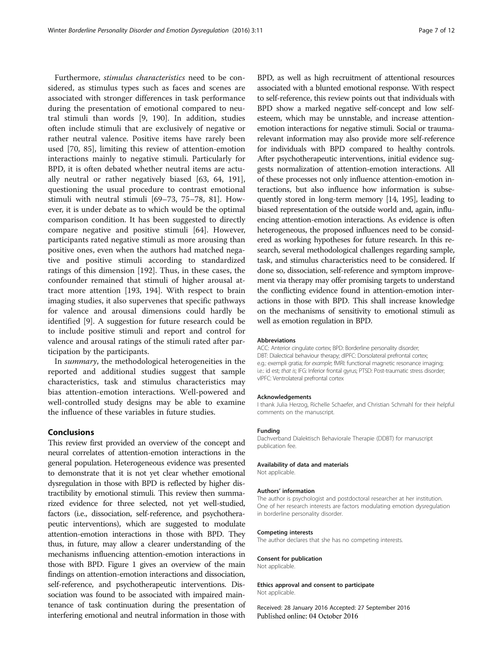Furthermore, stimulus characteristics need to be considered, as stimulus types such as faces and scenes are associated with stronger differences in task performance during the presentation of emotional compared to neutral stimuli than words [[9,](#page-7-0) [190](#page-11-0)]. In addition, studies often include stimuli that are exclusively of negative or rather neutral valence. Positive items have rarely been used [[70, 85\]](#page-8-0), limiting this review of attention-emotion interactions mainly to negative stimuli. Particularly for BPD, it is often debated whether neutral items are actually neutral or rather negatively biased [[63](#page-8-0), [64,](#page-8-0) [191](#page-11-0)], questioning the usual procedure to contrast emotional stimuli with neutral stimuli [\[69](#page-8-0)–[73, 75](#page-8-0)–[78](#page-8-0), [81](#page-8-0)]. However, it is under debate as to which would be the optimal comparison condition. It has been suggested to directly compare negative and positive stimuli [[64\]](#page-8-0). However, participants rated negative stimuli as more arousing than positive ones, even when the authors had matched negative and positive stimuli according to standardized ratings of this dimension [[192\]](#page-11-0). Thus, in these cases, the confounder remained that stimuli of higher arousal attract more attention [[193, 194](#page-11-0)]. With respect to brain imaging studies, it also supervenes that specific pathways for valence and arousal dimensions could hardly be identified [[9\]](#page-7-0). A suggestion for future research could be to include positive stimuli and report and control for valence and arousal ratings of the stimuli rated after participation by the participants.

In summary, the methodological heterogeneities in the reported and additional studies suggest that sample characteristics, task and stimulus characteristics may bias attention-emotion interactions. Well-powered and well-controlled study designs may be able to examine the influence of these variables in future studies.

### Conclusions

This review first provided an overview of the concept and neural correlates of attention-emotion interactions in the general population. Heterogeneous evidence was presented to demonstrate that it is not yet clear whether emotional dysregulation in those with BPD is reflected by higher distractibility by emotional stimuli. This review then summarized evidence for three selected, not yet well-studied, factors (i.e., dissociation, self-reference, and psychotherapeutic interventions), which are suggested to modulate attention-emotion interactions in those with BPD. They thus, in future, may allow a clearer understanding of the mechanisms influencing attention-emotion interactions in those with BPD. Figure [1](#page-1-0) gives an overview of the main findings on attention-emotion interactions and dissociation, self-reference, and psychotherapeutic interventions. Dissociation was found to be associated with impaired maintenance of task continuation during the presentation of interfering emotional and neutral information in those with

BPD, as well as high recruitment of attentional resources associated with a blunted emotional response. With respect to self-reference, this review points out that individuals with BPD show a marked negative self-concept and low selfesteem, which may be unnstable, and increase attentionemotion interactions for negative stimuli. Social or traumarelevant information may also provide more self-reference for individuals with BPD compared to healthy controls. After psychotherapeutic interventions, initial evidence suggests normalization of attention-emotion interactions. All of these processes not only influence attention-emotion interactions, but also influence how information is subsequently stored in long-term memory [\[14,](#page-7-0) [195\]](#page-11-0), leading to biased representation of the outside world and, again, influencing attention-emotion interactions. As evidence is often heterogeneous, the proposed influences need to be considered as working hypotheses for future research. In this research, several methodological challenges regarding sample, task, and stimulus characteristics need to be considered. If done so, dissociation, self-reference and symptom improvement via therapy may offer promising targets to understand the conflicting evidence found in attention-emotion interactions in those with BPD. This shall increase knowledge on the mechanisms of sensitivity to emotional stimuli as well as emotion regulation in BPD.

#### Abbreviations

ACC: Anterior cingulate cortex; BPD: Borderline personality disorder; DBT: Dialectical behaviour therapy; dlPFC: Dorsolateral prefrontal cortex; e.g.: exempli gratia; for example; fMRI: functional magnetic resonance imaging; i.e.: id est; that is; IFG: Inferior frontal gyrus; PTSD: Post-traumatic stress disorder; vlPFC: Ventrolateral prefrontal cortex

#### Acknowledgements

I thank Julia Herzog, Richelle Schaefer, and Christian Schmahl for their helpful comments on the manuscript.

### Funding

Dachverband Dialektisch Behaviorale Therapie (DDBT) for manuscript publication fee.

#### Availability of data and materials

Not applicable.

#### Authors' information

The author is psychologist and postdoctoral researcher at her institution. One of her research interests are factors modulating emotion dysregulation in borderline personality disorder.

#### Competing interests

The author declares that she has no competing interests.

#### Consent for publication

Not applicable.

# Ethics approval and consent to participate

Not applicable.

Received: 28 January 2016 Accepted: 27 September 2016 Published online: 04 October 2016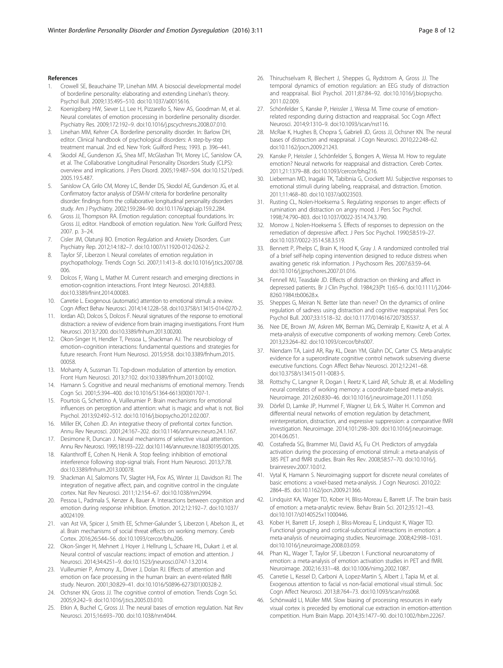#### <span id="page-7-0"></span>References

- 1. Crowell SE, Beauchaine TP, Linehan MM. A biosocial developmental model of borderline personality: elaborating and extending Linehan's theory. Psychol Bull. 2009;135:495–510. doi:[10.1037/a0015616.](http://dx.doi.org/10.1037/a0015616)
- 2. Koenigsberg HW, Siever LJ, Lee H, Pizzarello S, New AS, Goodman M, et al. Neural correlates of emotion processing in borderline personality disorder. Psychiatry Res. 2009;172:192–9. doi:[10.1016/j.pscychresns.2008.07.010](http://dx.doi.org/10.1016/j.pscychresns.2008.07.010).
- 3. Linehan MM, Kehrer CA. Borderline personality disorder. In: Barlow DH, editor. Clinical handbook of psychological disorders: A step-by-step treatment manual. 2nd ed. New York: Guilford Press; 1993. p. 396–441.
- Skodol AE, Gunderson JG, Shea MT, McGlashan TH, Morey LC, Sanislow CA, et al. The Collaborative Longitudinal Personality Disorders Study (CLPS): overview and implications. J Pers Disord. 2005;19:487–504. doi:[10.1521/pedi.](http://dx.doi.org/10.1521/pedi.2005.19.5.487) [2005.19.5.487](http://dx.doi.org/10.1521/pedi.2005.19.5.487).
- 5. Sanislow CA, Grilo CM, Morey LC, Bender DS, Skodol AE, Gunderson JG, et al. Confirmatory factor analysis of DSM-IV criteria for borderline personality disorder: findings from the collaborative longitudinal personality disorders study. Am J Psychiatry. 2002;159:284–90. doi[:10.1176/appi.ajp.159.2.284.](http://dx.doi.org/10.1176/appi.ajp.159.2.284)
- Gross JJ, Thompson RA. Emotion regulation: conceptual foundations. In: Gross JJ, editor. Handbook of emotion regulation. New York: Guilford Press; 2007. p. 3–24.
- 7. Cisler JM, Olatunji BO. Emotion Regulation and Anxiety Disorders. Curr Psychiatry Rep. 2012;14:182–7. doi:[10.1007/s11920-012-0262-2](http://dx.doi.org/10.1007/s11920-012-0262-2).
- 8. Taylor SF, Liberzon I. Neural correlates of emotion regulation in psychopathology. Trends Cogn Sci. 2007;11:413–8. doi:[10.1016/j.tics.2007.08.](http://dx.doi.org/10.1016/j.tics.2007.08.006) [006.](http://dx.doi.org/10.1016/j.tics.2007.08.006)
- 9. Dolcos F, Wang L, Mather M. Current research and emerging directions in emotion-cognition interactions. Front Integr Neurosci. 2014;8:83. doi[:10.3389/fnint.2014.00083](http://dx.doi.org/10.3389/fnint.2014.00083).
- 10. Carretie L. Exogenous (automatic) attention to emotional stimuli: a review. Cogn Affect Behav Neurosci. 2014;14:1228–58. doi:[10.3758/s13415-014-0270-2.](http://dx.doi.org/10.3758/s13415-014-0270-2)
- 11. Iordan AD, Dolcos S, Dolcos F. Neural signatures of the response to emotional distraction: a review of evidence from brain imaging investigations. Front Hum Neurosci. 2013;7:200. doi[:10.3389/fnhum.2013.00200](http://dx.doi.org/10.3389/fnhum.2013.00200).
- 12. Okon-Singer H, Hendler T, Pessoa L, Shackman AJ. The neurobiology of emotion–cognition interactions: fundamental questions and strategies for future research. Front Hum Neurosci. 2015;9:58. doi:[10.3389/fnhum.2015.](http://dx.doi.org/10.3389/fnhum.2015.00058) [00058.](http://dx.doi.org/10.3389/fnhum.2015.00058)
- 13. Mohanty A, Sussman TJ. Top-down modulation of attention by emotion. Front Hum Neurosci. 2013;7:102. doi[:10.3389/fnhum.2013.00102](http://dx.doi.org/10.3389/fnhum.2013.00102).
- 14. Hamann S. Cognitive and neural mechanisms of emotional memory. Trends Cogn Sci. 2001;5:394–400. doi:[10.1016/S1364-6613\(00\)01707-1](http://dx.doi.org/10.1016/S1364-6613(00)01707-1).
- 15. Pourtois G, Schettino A, Vuilleumier P. Brain mechanisms for emotional influences on perception and attention: what is magic and what is not. Biol Psychol. 2013;92:492–512. doi:[10.1016/j.biopsycho.2012.02.007](http://dx.doi.org/10.1016/j.biopsycho.2012.02.007).
- 16. Miller EK, Cohen JD. An integrative theory of prefrontal cortex function. Annu Rev Neurosci. 2001;24:167–202. doi[:10.1146/annurev.neuro.24.1.167](http://dx.doi.org/10.1146/annurev.neuro.24.1.167).
- 17. Desimone R, Duncan J. Neural mechanisms of selective visual attention. Annu Rev Neurosci. 1995;18:193–222. doi[:10.1146/annurev.ne.18.030195.001205.](http://dx.doi.org/10.1146/annurev.ne.18.030195.001205)
- 18. Kalanthroff E, Cohen N, Henik A. Stop feeling: inhibition of emotional interference following stop-signal trials. Front Hum Neurosci. 2013;7:78. doi[:10.3389/fnhum.2013.00078](http://dx.doi.org/10.3389/fnhum.2013.00078).
- 19. Shackman AJ, Salomons TV, Slagter HA, Fox AS, Winter JJ, Davidson RJ. The integration of negative affect, pain, and cognitive control in the cingulate cortex. Nat Rev Neurosci. 2011;12:154–67. doi[:10.1038/nrn2994](http://dx.doi.org/10.1038/nrn2994).
- 20. Pessoa L, Padmala S, Kenzer A, Bauer A. Interactions between cognition and emotion during response inhibition. Emotion. 2012;12:192–7. doi[:10.1037/](http://dx.doi.org/10.1037/a0024109) [a0024109.](http://dx.doi.org/10.1037/a0024109)
- 21. van Ast VA, Spicer J, Smith EE, Schmer-Galunder S, Liberzon I, Abelson JL, et al. Brain mechanisms of social threat effects on working memory. Cereb Cortex. 2016;26:544–56. doi:[10.1093/cercor/bhu206](http://dx.doi.org/10.1093/cercor/bhu206).
- 22. Okon-Singer H, Mehnert J, Hoyer J, Hellrung L, Schaare HL, Dukart J, et al. Neural control of vascular reactions: impact of emotion and attention. J Neurosci. 2014;34:4251–9. doi:[10.1523/jneurosci.0747-13.2014.](http://dx.doi.org/10.1523/jneurosci.0747-13.2014)
- 23. Vuilleumier P, Armony JL, Driver J, Dolan RJ. Effects of attention and emotion on face processing in the human brain: an event-related fMRI study. Neuron. 2001;30:829–41. doi[:10.1016/S0896-6273\(01\)00328-2.](http://dx.doi.org/10.1016/S0896-6273(01)00328-2)
- 24. Ochsner KN, Gross JJ. The cognitive control of emotion. Trends Cogn Sci. 2005;9:242–9. doi:[10.1016/j.tics.2005.03.010](http://dx.doi.org/10.1016/j.tics.2005.03.010).
- 25. Etkin A, Buchel C, Gross JJ. The neural bases of emotion regulation. Nat Rev Neurosci. 2015;16:693–700. doi[:10.1038/nrn4044.](http://dx.doi.org/10.1038/nrn4044)
- 26. Thiruchselvam R, Blechert J, Sheppes G, Rydstrom A, Gross JJ. The temporal dynamics of emotion regulation: an EEG study of distraction and reappraisal. Biol Psychol. 2011;87:84–92. doi:[10.1016/j.biopsycho.](http://dx.doi.org/10.1016/j.biopsycho.2011.02.009) [2011.02.009.](http://dx.doi.org/10.1016/j.biopsycho.2011.02.009)
- 27. Schönfelder S, Kanske P, Heissler J, Wessa M. Time course of emotionrelated responding during distraction and reappraisal. Soc Cogn Affect Neurosci. 2014;9:1310–9. doi[:10.1093/scan/nst116](http://dx.doi.org/10.1093/scan/nst116).
- 28. McRae K, Hughes B, Chopra S, Gabrieli JD, Gross JJ, Ochsner KN. The neural bases of distraction and reappraisal. J Cogn Neurosci. 2010;22:248–62. doi[:10.1162/jocn.2009.21243](http://dx.doi.org/10.1162/jocn.2009.21243).
- 29. Kanske P, Heissler J, Schönfelder S, Bongers A, Wessa M. How to regulate emotion? Neural networks for reappraisal and distraction. Cereb Cortex. 2011;21:1379–88. doi[:10.1093/cercor/bhq216](http://dx.doi.org/10.1093/cercor/bhq216).
- 30. Lieberman MD, Inagaki TK, Tabibnia G, Crockett MJ. Subjective responses to emotional stimuli during labeling, reappraisal, and distraction. Emotion. 2011;11:468–80. doi:[10.1037/a0023503](http://dx.doi.org/10.1037/a0023503).
- 31. Rusting CL, Nolen-Hoeksema S. Regulating responses to anger: effects of rumination and distraction on angry mood. J Pers Soc Psychol. 1998;74:790–803. doi[:10.1037/0022-3514.74.3.790.](http://dx.doi.org/10.1037/0022-3514.74.3.790)
- 32. Morrow J, Nolen-Hoeksema S. Effects of responses to depression on the remediation of depressive affect. J Pers Soc Psychol. 1990;58:519–27. doi[:10.1037/0022-3514.58.3.519.](http://dx.doi.org/10.1037/0022-3514.58.3.519)
- 33. Bennett P, Phelps C, Brain K, Hood K, Gray J. A randomized controlled trial of a brief self-help coping intervention designed to reduce distress when awaiting genetic risk information. J Psychosom Res. 2007;63:59–64. doi[:10.1016/j.jpsychores.2007.01.016.](http://dx.doi.org/10.1016/j.jpsychores.2007.01.016)
- 34. Fennell MJ, Teasdale JD. Effects of distraction on thinking and affect in depressed patients. Br J Clin Psychol. 1984;23(Pt 1):65–6. doi[:10.1111/j.2044-](http://dx.doi.org/10.1111/j.2044-8260.1984.tb00628.x) [8260.1984.tb00628.x.](http://dx.doi.org/10.1111/j.2044-8260.1984.tb00628.x)
- 35. Sheppes G, Meiran N. Better late than never? On the dynamics of online regulation of sadness using distraction and cognitive reappraisal. Pers Soc Psychol Bull. 2007;33:1518–32. doi[:10.1177/0146167207305537](http://dx.doi.org/10.1177/0146167207305537).
- 36. Nee DE, Brown JW, Askren MK, Berman MG, Demiralp E, Krawitz A, et al. A meta-analysis of executive components of working memory. Cereb Cortex. 2013;23:264–82. doi:[10.1093/cercor/bhs007](http://dx.doi.org/10.1093/cercor/bhs007).
- 37. Niendam TA, Laird AR, Ray KL, Dean YM, Glahn DC, Carter CS. Meta-analytic evidence for a superordinate cognitive control network subserving diverse executive functions. Cogn Affect Behav Neurosci. 2012;12:241–68. doi[:10.3758/s13415-011-0083-5](http://dx.doi.org/10.3758/s13415-011-0083-5).
- 38. Rottschy C, Langner R, Dogan I, Reetz K, Laird AR, Schulz JB, et al. Modelling neural correlates of working memory: a coordinate-based meta-analysis. Neuroimage. 2012;60:830–46. doi[:10.1016/j.neuroimage.2011.11.050.](http://dx.doi.org/10.1016/j.neuroimage.2011.11.050)
- 39. Dörfel D, Lamke JP, Hummel F, Wagner U, Erk S, Walter H. Common and differential neural networks of emotion regulation by detachment, reinterpretation, distraction, and expressive suppression: a comparative fMRI investigation. Neuroimage. 2014;101:298–309. doi:[10.1016/j.neuroimage.](http://dx.doi.org/10.1016/j.neuroimage.2014.06.051) [2014.06.051.](http://dx.doi.org/10.1016/j.neuroimage.2014.06.051)
- 40. Costafreda SG, Brammer MJ, David AS, Fu CH. Predictors of amygdala activation during the processing of emotional stimuli: a meta-analysis of 385 PET and fMRI studies. Brain Res Rev. 2008;58:57–70. doi[:10.1016/j.](http://dx.doi.org/10.1016/j.brainresrev.2007.10.012) [brainresrev.2007.10.012](http://dx.doi.org/10.1016/j.brainresrev.2007.10.012).
- 41. Vytal K, Hamann S. Neuroimaging support for discrete neural correlates of basic emotions: a voxel-based meta-analysis. J Cogn Neurosci. 2010;22: 2864–85. doi[:10.1162/jocn.2009.21366.](http://dx.doi.org/10.1162/jocn.2009.21366)
- 42. Lindquist KA, Wager TD, Kober H, Bliss-Moreau E, Barrett LF. The brain basis of emotion: a meta-analytic review. Behav Brain Sci. 2012;35:121–43. doi[:10.1017/s0140525x11000446.](http://dx.doi.org/10.1017/s0140525x11000446)
- 43. Kober H, Barrett LF, Joseph J, Bliss-Moreau E, Lindquist K, Wager TD. Functional grouping and cortical-subcortical interactions in emotion: a meta-analysis of neuroimaging studies. Neuroimage. 2008;42:998–1031. doi[:10.1016/j.neuroimage.2008.03.059.](http://dx.doi.org/10.1016/j.neuroimage.2008.03.059)
- 44. Phan KL, Wager T, Taylor SF, Liberzon I. Functional neuroanatomy of emotion: a meta-analysis of emotion activation studies in PET and fMRI. Neuroimage. 2002;16:331–48. doi[:10.1006/nimg.2002.1087](http://dx.doi.org/10.1006/nimg.2002.1087).
- 45. Carretie L, Kessel D, Carboni A, Lopez-Martin S, Albert J, Tapia M, et al. Exogenous attention to facial vs non-facial emotional visual stimuli. Soc Cogn Affect Neurosci. 2013;8:764–73. doi:[10.1093/scan/nss068](http://dx.doi.org/10.1093/scan/nss068).
- 46. Schönwald LI, Müller MM. Slow biasing of processing resources in early visual cortex is preceded by emotional cue extraction in emotion-attention competition. Hum Brain Mapp. 2014;35:1477–90. doi[:10.1002/hbm.22267](http://dx.doi.org/10.1002/hbm.22267).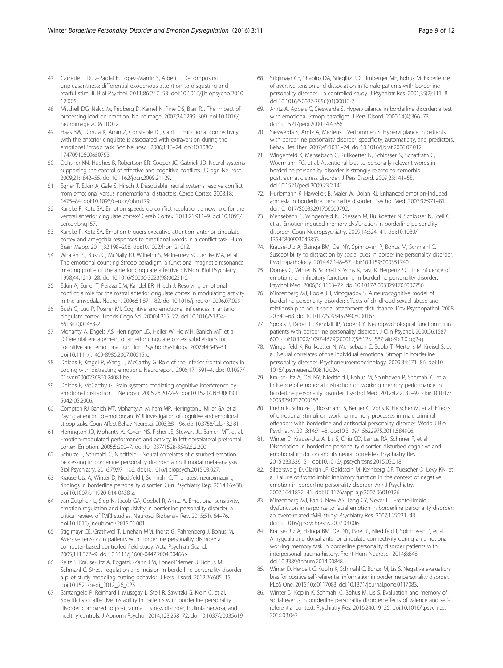- <span id="page-8-0"></span>47. Carretie L, Ruiz-Padial E, Lopez-Martin S, Albert J. Decomposing unpleasantness: differential exogenous attention to disgusting and fearful stimuli. Biol Psychol. 2011;86:247–53. doi:[10.1016/j.biopsycho.2010.](http://dx.doi.org/10.1016/j.biopsycho.2010.12.005) [12.005.](http://dx.doi.org/10.1016/j.biopsycho.2010.12.005)
- 48. Mitchell DG, Nakic M, Fridberg D, Kamel N, Pine DS, Blair RJ. The impact of processing load on emotion. Neuroimage. 2007;34:1299–309. doi:[10.1016/j.](http://dx.doi.org/10.1016/j.neuroimage.2006.10.012) [neuroimage.2006.10.012](http://dx.doi.org/10.1016/j.neuroimage.2006.10.012).
- 49. Haas BW, Omura K, Amin Z, Constable RT, Canli T. Functional connectivity with the anterior cingulate is associated with extraversion during the emotional Stroop task. Soc Neurosci. 2006;1:16–24. doi:[10.1080/](http://dx.doi.org/10.1080/17470910600650753) [17470910600650753.](http://dx.doi.org/10.1080/17470910600650753)
- 50. Ochsner KN, Hughes B, Robertson ER, Cooper JC, Gabrieli JD. Neural systems supporting the control of affective and cognitive conflicts. J Cogn Neurosci. 2009;21:1842–55. doi[:10.1162/jocn.2009.21129.](http://dx.doi.org/10.1162/jocn.2009.21129)
- 51. Egner T, Etkin A, Gale S, Hirsch J. Dissociable neural systems resolve conflict from emotional versus nonemotional distracters. Cereb Cortex. 2008;18: 1475–84. doi[:10.1093/cercor/bhm179](http://dx.doi.org/10.1093/cercor/bhm179).
- 52. Kanske P, Kotz SA. Emotion speeds up conflict resolution: a new role for the ventral anterior cingulate cortex? Cereb Cortex. 2011;21:911–9. doi[:10.1093/](http://dx.doi.org/10.1093/cercor/bhq157) [cercor/bhq157](http://dx.doi.org/10.1093/cercor/bhq157).
- 53. Kanske P, Kotz SA. Emotion triggers executive attention: anterior cingulate cortex and amygdala responses to emotional words in a conflict task. Hum Brain Mapp. 2011;32:198–208. doi[:10.1002/hbm.21012.](http://dx.doi.org/10.1002/hbm.21012)
- 54. Whalen PJ, Bush G, McNally RJ, Wilhelm S, McInerney SC, Jenike MA, et al. The emotional counting Stroop paradigm: a functional magnetic resonance imaging probe of the anterior cingulate affective division. Biol Psychiatry. 1998;44:1219–28. doi[:10.1016/S0006-3223\(98\)00251-0](http://dx.doi.org/10.1016/S0006-3223(98)00251-0).
- 55. Etkin A, Egner T, Peraza DM, Kandel ER, Hirsch J. Resolving emotional conflict: a role for the rostral anterior cingulate cortex in modulating activity in the amygdala. Neuron. 2006;51:871–82. doi[:10.1016/j.neuron.2006.07.029.](http://dx.doi.org/10.1016/j.neuron.2006.07.029)
- 56. Bush G, Luu P, Posner MI. Cognitive and emotional influences in anterior cingulate cortex. Trends Cogn Sci. 2000;4:215–22. doi:[10.1016/S1364-](http://dx.doi.org/10.1016/S1364-6613(00)01483-2) [6613\(00\)01483-2](http://dx.doi.org/10.1016/S1364-6613(00)01483-2).
- 57. Mohanty A, Engels AS, Herrington JD, Heller W, Ho MH, Banich MT, et al. Differential engagement of anterior cingulate cortex subdivisions for cognitive and emotional function. Psychophysiology. 2007;44:343–51. doi[:10.1111/j.1469-8986.2007.00515.x](http://dx.doi.org/10.1111/j.1469-8986.2007.00515.x).
- 58. Dolcos F, Kragel P, Wang L, McCarthy G. Role of the inferior frontal cortex in coping with distracting emotions. Neuroreport. 2006;17:1591–4. doi:[10.1097/](http://dx.doi.org/10.1097/01.wnr.0000236860.24081.be) [01.wnr.0000236860.24081.be.](http://dx.doi.org/10.1097/01.wnr.0000236860.24081.be)
- 59. Dolcos F, McCarthy G. Brain systems mediating cognitive interference by emotional distraction. J Neurosci. 2006;26:2072–9. doi[:10.1523/JNEUROSCI.](http://dx.doi.org/10.1523/JNEUROSCI.5042-05.2006) [5042-05.2006](http://dx.doi.org/10.1523/JNEUROSCI.5042-05.2006).
- 60. Compton RJ, Banich MT, Mohanty A, Milham MP, Herrington J, Miller GA, et al. Paying attention to emotion: an fMRI investigation of cognitive and emotional stroop tasks. Cogn Affect Behav Neurosci. 2003;3:81–96. doi[:10.3758/cabn.3.2.81.](http://dx.doi.org/10.3758/cabn.3.2.81)
- 61. Herrington JD, Mohanty A, Koven NS, Fisher JE, Stewart JL, Banich MT, et al. Emotion-modulated performance and activity in left dorsolateral prefrontal cortex. Emotion. 2005;5:200–7. doi[:10.1037/1528-3542.5.2.200](http://dx.doi.org/10.1037/1528-3542.5.2.200).
- 62. Schulze L, Schmahl C, Niedtfeld I. Neural correlates of disturbed emotion processing in borderline personality disorder: a multimodal meta-analysis. Biol Psychiatry. 2016;79:97–106. doi:[10.1016/j.biopsych.2015.03.027](http://dx.doi.org/10.1016/j.biopsych.2015.03.027).
- 63. Krause-Utz A, Winter D, Niedtfeld I, Schmahl C. The latest neuroimaging findings in borderline personality disorder. Curr Psychiatry Rep. 2014;16:438. doi[:10.1007/s11920-014-0438-z.](http://dx.doi.org/10.1007/s11920-014-0438-z)
- 64. van Zutphen L, Siep N, Jacob GA, Goebel R, Arntz A. Emotional sensitivity, emotion regulation and impulsivity in borderline personality disorder: a critical review of fMRI studies. Neurosci Biobehav Rev. 2015;51c:64–76. doi[:10.1016/j.neubiorev.2015.01.001.](http://dx.doi.org/10.1016/j.neubiorev.2015.01.001)
- 65. Stiglmayr CE, Grathwol T, Linehan MM, Ihorst G, Fahrenberg J, Bohus M. Aversive tension in patients with borderline personality disorder: a computer-based controlled field study. Acta Psychiatr Scand. 2005;111:372–9. doi:[10.1111/j.1600-0447.2004.00466.x](http://dx.doi.org/10.1111/j.1600-0447.2004.00466.x).
- 66. Reitz S, Krause-Utz A, Pogatzki-Zahn EM, Ebner-Priemer U, Bohus M, Schmahl C. Stress regulation and incision in borderline personality disorder– a pilot study modeling cutting behavior. J Pers Disord. 2012;26:605–15. doi[:10.1521/pedi\\_2012\\_26\\_025](http://dx.doi.org/10.1521/pedi_2012_26_025).
- 67. Santangelo P, Reinhard I, Mussgay L, Steil R, Sawitzki G, Klein C, et al. Specificity of affective instability in patients with borderline personality disorder compared to posttraumatic stress disorder, bulimia nervosa, and healthy controls. J Abnorm Psychol. 2014;123:258–72. doi[:10.1037/a0035619](http://dx.doi.org/10.1037/a0035619).
- 68. Stiglmayr CE, Shapiro DA, Stieglitz RD, Limberger MF, Bohus M. Experience of aversive tension and dissociation in female patients with borderline personality disorder—a controlled study. J Psychiatr Res. 2001;35(2):111–8. doi[:10.1016/S0022-3956\(01\)00012-7.](http://dx.doi.org/10.1016/S0022-3956(01)00012-7)
- 69. Arntz A, Appels C, Sieswerda S. Hypervigilance in borderline disorder: a test with emotional Stroop paradigm. J Pers Disord. 2000;14(4):366–73. doi[:10.1521/pedi.2000.14.4.366.](http://dx.doi.org/10.1521/pedi.2000.14.4.366)
- 70. Sieswerda S, Arntz A, Mertens I, Vertommen S. Hypervigilance in patients with borderline personality disorder: specificity, automaticity, and predictors. Behav Res Ther. 2007;45:1011–24. doi[:10.1016/j.brat.2006.07.012](http://dx.doi.org/10.1016/j.brat.2006.07.012).
- 71. Wingenfeld K, Mensebach C, Rullkoetter N, Schlosser N, Schaffrath C, Woermann FG, et al. Attentional bias to personally relevant words in borderline personality disorder is strongly related to comorbid posttraumatic stress disorder. J Pers Disord. 2009;23:141–55. doi[:10.1521/pedi.2009.23.2.141.](http://dx.doi.org/10.1521/pedi.2009.23.2.141)
- 72. Hurlemann R, Hawellek B, Maier W, Dolan RJ. Enhanced emotion-induced amnesia in borderline personality disorder. Psychol Med. 2007;37:971–81. doi[:10.1017/S0033291706009792.](http://dx.doi.org/10.1017/S0033291706009792)
- 73. Mensebach C, Wingenfeld K, Driessen M, Rullkoetter N, Schlosser N, Steil C, et al. Emotion-induced memory dysfunction in borderline personality disorder. Cogn Neuropsychiatry. 2009;14:524–41. doi[:10.1080/](http://dx.doi.org/10.1080/13546800903049853) [13546800903049853.](http://dx.doi.org/10.1080/13546800903049853)
- 74. Krause-Utz A, Elzinga BM, Oei NY, Spinhoven P, Bohus M, Schmahl C. Susceptibility to distraction by social cues in borderline personality disorder. Psychopathology. 2014;47:148–57. doi[:10.1159/000351740.](http://dx.doi.org/10.1159/000351740)
- 75. Domes G, Winter B, Schnell K, Vohs K, Fast K, Herpertz SC. The influence of emotions on inhibitory functioning in borderline personality disorder. Psychol Med. 2006;36:1163–72. doi:[10.1017/S0033291706007756.](http://dx.doi.org/10.1017/S0033291706007756)
- 76. Minzenberg MJ, Poole JH, Vinogradov S. A neurocognitive model of borderline personality disorder: effects of childhood sexual abuse and relationship to adult social attachment disturbance. Dev Psychopathol. 2008; 20:341–68. doi:[10.1017/S0954579408000163.](http://dx.doi.org/10.1017/S0954579408000163)
- 77. Sprock J, Rader TJ, Kendall JP, Yoder CY. Neuropsychological functioning in patients with borderline personality disorder. J Clin Psychol. 2000;56:1587– 600. doi:[10.1002/1097-4679\(200012\)56:12<1587::aid-9>3.0.co;2-g](http://dx.doi.org/10.1002/1097-4679(200012)56:12%3C1587::aid-9%3E3.0.co;2-g).
- 78. Wingenfeld K, Rullkoetter N, Mensebach C, Beblo T, Mertens M, Kreisel S, et al. Neural correlates of the individual emotional Stroop in borderline personality disorder. Psychoneuroendocrinology. 2009;34:571–86. doi:[10.](http://dx.doi.org/10.1016/j.psyneuen.2008.10.024) [1016/j.psyneuen.2008.10.024](http://dx.doi.org/10.1016/j.psyneuen.2008.10.024).
- 79. Krause-Utz A, Oei NY, Niedtfeld I, Bohus M, Spinhoven P, Schmahl C, et al. Influence of emotional distraction on working memory performance in borderline personality disorder. Psychol Med. 2012;42:2181–92. doi:[10.1017/](http://dx.doi.org/10.1017/S0033291712000153) [S0033291712000153.](http://dx.doi.org/10.1017/S0033291712000153)
- 80. Prehn K, Schulze L, Rossmann S, Berger C, Vohs K, Fleischer M, et al. Effects of emotional stimuli on working memory processes in male criminal offenders with borderline and antisocial personality disorder. World J Biol Psychiatry. 2013;14:71–8. doi[:10.3109/15622975.2011.584906](http://dx.doi.org/10.3109/15622975.2011.584906).
- 81. Winter D, Krause-Utz A, Lis S, Chiu CD, Lanius RA, Schriner F, et al. Dissociation in borderline personality disorder: disturbed cognitive and emotional inhibition and its neural correlates. Psychiatry Res. 2015;233:339–51. doi[:10.1016/j.pscychresns.2015.05.018](http://dx.doi.org/10.1016/j.pscychresns.2015.05.018).
- 82. Silbersweig D, Clarkin JF, Goldstein M, Kernberg OF, Tuescher O, Levy KN, et al. Failure of frontolimbic inhibitory function in the context of negative emotion in borderline personality disorder. Am J Psychiatry. 2007;164:1832–41. doi:[10.1176/appi.ajp.2007.06010126](http://dx.doi.org/10.1176/appi.ajp.2007.06010126).
- 83. Minzenberg MJ, Fan J, New AS, Tang CY, Siever LJ. Fronto-limbic dysfunction in response to facial emotion in borderline personality disorder: an event-related fMRI study. Psychiatry Res. 2007;155:231–43. doi[:10.1016/j.pscychresns.2007.03.006](http://dx.doi.org/10.1016/j.pscychresns.2007.03.006).
- 84. Krause-Utz A, Elzinga BM, Oei NY, Paret C, Niedtfeld I, Spinhoven P, et al. Amygdala and dorsal anterior cingulate connectivity during an emotional working memory task in borderline personality disorder patients with interpersonal trauma history. Front Hum Neurosci. 2014;8:848. doi[:10.3389/fnhum.2014.00848](http://dx.doi.org/10.3389/fnhum.2014.00848).
- 85. Winter D, Herbert C, Koplin K, Schmahl C, Bohus M, Lis S. Negative evaluation bias for positive self-referential information in borderline personality disorder. PLoS One. 2015;10:e0117083. doi[:10.1371/journal.pone.0117083.](http://dx.doi.org/10.1371/journal.pone.0117083)
- 86. Winter D, Koplin K, Schmahl C, Bohus M, Lis S. Evaluation and memory of social events in borderline personality disorder: effects of valence and selfreferential context. Psychiatry Res. 2016;240:19–25. doi[:10.1016/j.psychres.](http://dx.doi.org/10.1016/j.psychres.2016.03.042) [2016.03.042.](http://dx.doi.org/10.1016/j.psychres.2016.03.042)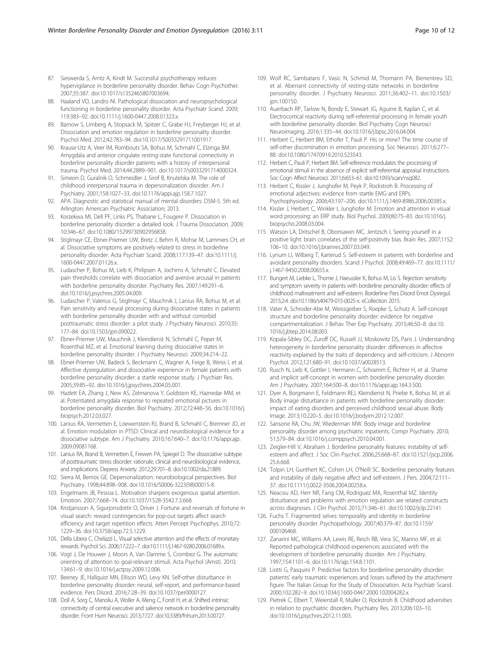- <span id="page-9-0"></span>87. Sieswerda S, Arntz A, Kindt M. Successful psychotherapy reduces hypervigilance in borderline personality disorder. Behav Cogn Psychother. 2007;35:387. doi[:10.1017/s1352465807003694.](http://dx.doi.org/10.1017/s1352465807003694)
- 88. Haaland VO, Landro NI. Pathological dissociation and neuropsychological functioning in borderline personality disorder. Acta Psychiatr Scand. 2009; 119:383–92. doi[:10.1111/j.1600-0447.2008.01323.x.](http://dx.doi.org/10.1111/j.1600-0447.2008.01323.x)
- 89. Barnow S, Limberg A, Stopsack M, Spitzer C, Grabe HJ, Freyberger HJ, et al. Dissociation and emotion regulation in borderline personality disorder. Psychol Med. 2012;42:783–94. doi[:10.1017/S0033291711001917](http://dx.doi.org/10.1017/S0033291711001917).
- 90. Krause-Utz A, Veer IM, Rombouts SA, Bohus M, Schmahl C, Elzinga BM. Amygdala and anterior cingulate resting-state functional connectivity in borderline personality disorder patients with a history of interpersonal trauma. Psychol Med. 2014;44:2889–901. doi:[10.1017/s0033291714000324](http://dx.doi.org/10.1017/s0033291714000324).
- 91. Simeon D, Guralnik O, Schmeidler J, Sirof B, Knutelska M. The role of childhood interpersonal trauma in depersonalization disorder. Am J Psychiatry. 2001;158:1027–33. doi[:10.1176/appi.ajp.158.7.1027](http://dx.doi.org/10.1176/appi.ajp.158.7.1027).
- 92. APA. Diagnostic and statistical manual of mental disorders: DSM-5. 5th ed. Arlington: American Psychiatric Association; 2013.
- 93. Korzekwa MI, Dell PF, Links PS, Thabane L, Fougere P. Dissociation in borderline personality disorder: a detailed look. J Trauma Dissociation. 2009; 10:346–67. doi:[10.1080/15299730902956838](http://dx.doi.org/10.1080/15299730902956838).
- 94. Stiglmayr CE, Ebner-Priemer UW, Bretz J, Behm R, Mohse M, Lammers CH, et al. Dissociative symptoms are positively related to stress in borderline personality disorder. Acta Psychiatr Scand. 2008;117:139–47. doi[:10.1111/j.](http://dx.doi.org/10.1111/j.1600-0447.2007.01126.x) [1600-0447.2007.01126.x](http://dx.doi.org/10.1111/j.1600-0447.2007.01126.x).
- 95. Ludascher P, Bohus M, Lieb K, Philipsen A, Jochims A, Schmahl C. Elevated pain thresholds correlate with dissociation and aversive arousal in patients with borderline personality disorder. Psychiatry Res. 2007;149:291–6. doi[:10.1016/j.psychres.2005.04.009.](http://dx.doi.org/10.1016/j.psychres.2005.04.009)
- 96. Ludascher P, Valerius G, Stiglmayr C, Mauchnik J, Lanius RA, Bohus M, et al. Pain sensitivity and neural processing during dissociative states in patients with borderline personality disorder with and without comorbid posttraumatic stress disorder: a pilot study. J Psychiatry Neurosci. 2010;35: 177–84. doi:[10.1503/jpn.090022.](http://dx.doi.org/10.1503/jpn.090022)
- 97. Ebner-Priemer UW, Mauchnik J, Kleindienst N, Schmahl C, Peper M, Rosenthal MZ, et al. Emotional learning during dissociative states in borderline personality disorder. J Psychiatry Neurosci. 2009;34:214–22.
- 98. Ebner-Priemer UW, Badeck S, Beckmann C, Wagner A, Feige B, Weiss I, et al. Affective dysregulation and dissociative experience in female patients with borderline personality disorder: a startle response study. J Psychiatr Res. 2005;39:85–92. doi[:10.1016/j.jpsychires.2004.05.001.](http://dx.doi.org/10.1016/j.jpsychires.2004.05.001)
- 99. Hazlett EA, Zhang J, New AS, Zelmanova Y, Goldstein KE, Haznedar MM, et al. Potentiated amygdala response to repeated emotional pictures in borderline personality disorder. Biol Psychiatry. 2012;72:448–56. doi:[10.1016/j.](http://dx.doi.org/10.1016/j.biopsych.2012.03.027) [biopsych.2012.03.027.](http://dx.doi.org/10.1016/j.biopsych.2012.03.027)
- 100. Lanius RA, Vermetten E, Loewenstein RJ, Brand B, Schmahl C, Bremner JD, et al. Emotion modulation in PTSD: Clinical and neurobiological evidence for a dissociative subtype. Am J Psychiatry. 2010;167:640–7. doi[:10.1176/appi.ajp.](http://dx.doi.org/10.1176/appi.ajp.2009.09081168) [2009.09081168.](http://dx.doi.org/10.1176/appi.ajp.2009.09081168)
- 101. Lanius RA, Brand B, Vermetten E, Frewen PA, Spiegel D. The dissociative subtype of posttraumatic stress disorder: rationale, clinical and neurobiological evidence, and implications. Depress Anxiety. 2012;29:701–8. doi:[10.1002/da.21889](http://dx.doi.org/10.1002/da.21889).
- 102. Sierra M, Berrios GE. Depersonalization: neurobiological perspectives. Biol Psychiatry. 1998;44:898–908. doi:[10.1016/S0006-3223\(98\)00015-8.](http://dx.doi.org/10.1016/S0006-3223(98)00015-8)
- 103. Engelmann JB, Pessoa L. Motivation sharpens exogenous spatial attention. Emotion. 2007;7:668–74. doi:[10.1037/1528-3542.7.3.668.](http://dx.doi.org/10.1037/1528-3542.7.3.668)
- 104. Kristjansson A, Sigurjonsdottir O, Driver J. Fortune and reversals of fortune in visual search: reward contingencies for pop-out targets affect search efficiency and target repetition effects. Atten Percept Psychophys. 2010;72: 1229–36. doi[:10.3758/app.72.5.1229.](http://dx.doi.org/10.3758/app.72.5.1229)
- 105. Della Libera C, Chelazzi L. Visual selective attention and the effects of monetary rewards. Psychol Sci. 2006;17:222–7. doi[:10.1111/j.1467-9280.2006.01689.x](http://dx.doi.org/10.1111/j.1467-9280.2006.01689.x).
- 106. Vogt J, De Houwer J, Moors A, Van Damme S, Crombez G. The automatic orienting of attention to goal-relevant stimuli. Acta Psychol (Amst). 2010; 134:61–9. doi:[10.1016/j.actpsy.2009.12.006.](http://dx.doi.org/10.1016/j.actpsy.2009.12.006)
- 107. Beeney JE, Hallquist MN, Ellison WD, Levy KN. Self-other disturbance in borderline personality disorder: neural, self-report, and performance-based evidence. Pers Disord. 2016;7:28–39. doi[:10.1037/per0000127.](http://dx.doi.org/10.1037/per0000127)
- 108. Doll A, Sorg C, Manoliu A, Woller A, Meng C, Forstl H, et al. Shifted intrinsic connectivity of central executive and salience network in borderline personality disorder. Front Hum Neurosci. 2013;7:727. doi[:10.3389/fnhum.2013.00727](http://dx.doi.org/10.3389/fnhum.2013.00727).
- 109. Wolf RC, Sambataro F, Vasic N, Schmid M, Thomann PA, Bienentreu SD, et al. Aberrant connectivity of resting-state networks in borderline personality disorder. J Psychiatry Neurosci. 2011;36:402–11. doi:[10.1503/](http://dx.doi.org/10.1503/jpn.100150) [jpn.100150](http://dx.doi.org/10.1503/jpn.100150).
- 110. Auerbach RP, Tarlow N, Bondy E, Stewart JG, Aguirre B, Kaplan C, et al. Electrocortical reactivity during self-referential processing in female youth with borderline personality disorder. Biol Psychiatry Cogn Neurosci Neuroimaging. 2016;1:335–44. doi:[10.1016/j.bpsc.2016.04.004](http://dx.doi.org/10.1016/j.bpsc.2016.04.004).
- 111. Herbert C, Herbert BM, Ethofer T, Pauli P. His or mine? The time course of self-other discrimination in emotion processing. Soc Neurosci. 2011;6:277– 88. doi[:10.1080/17470919.2010.523543](http://dx.doi.org/10.1080/17470919.2010.523543).
- 112. Herbert C, Pauli P, Herbert BM. Self-reference modulates the processing of emotional stimuli in the absence of explicit self-referential appraisal instructions. Soc Cogn Affect Neurosci. 2011;6:653–61. doi[:10.1093/scan/nsq082](http://dx.doi.org/10.1093/scan/nsq082).
- 113. Herbert C, Kissler J, Junghofer M, Peyk P, Rockstroh B. Processing of emotional adjectives: evidence from startle EMG and ERPs. Psychophysiology. 2006;43:197–206. doi[:10.1111/j.1469-8986.2006.00385.x.](http://dx.doi.org/10.1111/j.1469-8986.2006.00385.x)
- 114. Kissler J, Herbert C, Winkler I, Junghofer M. Emotion and attention in visual word processing: an ERP study. Biol Psychol. 2009;80:75–83. doi:[10.1016/j.](http://dx.doi.org/10.1016/j.biopsycho.2008.03.004) [biopsycho.2008.03.004](http://dx.doi.org/10.1016/j.biopsycho.2008.03.004).
- 115. Watson LA, Dritschel B, Obonsawin MC, Jentzsch I. Seeing yourself in a positive light: brain correlates of the self-positivity bias. Brain Res. 2007;1152: 106–10. doi:[10.1016/j.brainres.2007.03.049](http://dx.doi.org/10.1016/j.brainres.2007.03.049).
- 116. Lynum LI, Wilberg T, Karterud S. Self-esteem in patients with borderline and avoidant personality disorders. Scand J Psychol. 2008;49:469–77. doi[:10.1111/](http://dx.doi.org/10.1111/j.1467-9450.2008.00655.x) [j.1467-9450.2008.00655.x](http://dx.doi.org/10.1111/j.1467-9450.2008.00655.x).
- 117. Bungert M, Liebke L, Thome J, Haeussler K, Bohus M, Lis S. Rejection sensitivity and symptom severity in patients with borderline personality disorder: effects of childhood maltreatment and self-esteem. Borderline Pers Disord Emot Dysregul. 2015;2:4. doi:[10.1186/s40479-015-0025-x.](http://dx.doi.org/10.1186/s40479-015-0025-x) eCollection 2015.
- 118. Vater A, Schroder-Abe M, Weissgerber S, Roepke S, Schutz A. Self-concept structure and borderline personality disorder: evidence for negative compartmentalization. J Behav Ther Exp Psychiatry. 2015;46:50–8. doi[:10.](http://dx.doi.org/10.1016/j.jbtep.2014.08.003) [1016/j.jbtep.2014.08.003.](http://dx.doi.org/10.1016/j.jbtep.2014.08.003)
- 119. Kopala-Sibley DC, Zuroff DC, Russell JJ, Moskowitz DS, Paris J. Understanding heterogeneity in borderline personality disorder: differences in affective reactivity explained by the traits of dependency and self-criticism. J Abnorm Psychol. 2012;121:680–91. doi[:10.1037/a0028513](http://dx.doi.org/10.1037/a0028513).
- 120. Rusch N, Lieb K, Gottler I, Hermann C, Schramm E, Richter H, et al. Shame and implicit self-concept in women with borderline personality disorder. Am J Psychiatry. 2007;164:500–8. doi[:10.1176/appi.ajp.164.3.500.](http://dx.doi.org/10.1176/appi.ajp.164.3.500)
- 121. Dyer A, Borgmann E, Feldmann REJ, Kleindienst N, Priebe K, Bohus M, et al. Body image disturbance in patients with borderline personality disorder: impact of eating disorders and perceived childhood sexual abuse. Body Image. 2013;10:220–5. doi[:10.1016/j.bodyim.2012.12.007](http://dx.doi.org/10.1016/j.bodyim.2012.12.007).
- 122. Sansone RA, Chu JW, Wiederman MW. Body image and borderline personality disorder among psychiatric inpatients. Compr Psychiatry. 2010; 51:579–84. doi:[10.1016/j.comppsych.2010.04.001](http://dx.doi.org/10.1016/j.comppsych.2010.04.001).
- 123. Zeigler-Hill V, Abraham J. Borderline personality features: instability of selfesteem and affect. J Soc Clin Psychol. 2006;25:668–87. doi[:10.1521/jscp.2006.](http://dx.doi.org/10.1521/jscp.2006.25.6.668) [25.6.668.](http://dx.doi.org/10.1521/jscp.2006.25.6.668)
- 124. Tolpin LH, Gunthert KC, Cohen LH, O'Neill SC. Borderline personality features and instability of daily negative affect and self-esteem. J Pers. 2004;72:111– 37. doi[:10.1111/j.0022-3506.2004.00258.x.](http://dx.doi.org/10.1111/j.0022-3506.2004.00258.x)
- 125. Neacsiu AD, Herr NR, Fang CM, Rodriguez MA, Rosenthal MZ. Identity disturbance and problems with emotion regulation are related constructs across diagnoses. J Clin Psychol. 2015;71:346–61. doi[:10.1002/jclp.22141.](http://dx.doi.org/10.1002/jclp.22141)
- 126. Fuchs T. Fragmented selves: temporality and identity in borderline personality disorder. Psychopathology. 2007;40:379–87. doi:[10.1159/](http://dx.doi.org/10.1159/000106468) [000106468](http://dx.doi.org/10.1159/000106468)
- 127. Zanarini MC, Williams AA, Lewis RE, Reich RB, Vera SC, Marino MF, et al. Reported pathological childhood experiences associated with the development of borderline personality disorder. Am J Psychiatry. 1997;154:1101–6. doi[:10.1176/ajp.154.8.1101.](http://dx.doi.org/10.1176/ajp.154.8.1101)
- 128. Liotti G, Pasquini P. Predictive factors for borderline personality disorder: patients' early traumatic experiences and losses suffered by the attachment figure. The Italian Group for the Study of Dissociation. Acta Psychiatr Scand. 2000;102:282–9. doi:[10.1034/j.1600-0447.2000.102004282.x.](http://dx.doi.org/10.1034/j.1600-0447.2000.102004282.x)
- 129. Pietrek C, Elbert T, Weierstall R, Muller O, Rockstroh B. Childhood adversities in relation to psychiatric disorders. Psychiatry Res. 2013;206:103–10. doi[:10.1016/j.psychres.2012.11.003.](http://dx.doi.org/10.1016/j.psychres.2012.11.003)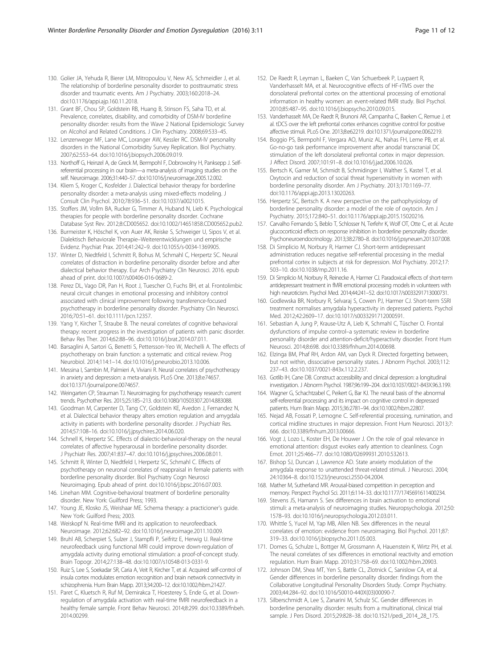- <span id="page-10-0"></span>130. Golier JA, Yehuda R, Bierer LM, Mitropoulou V, New AS, Schmeidler J, et al. The relationship of borderline personality disorder to posttraumatic stress disorder and traumatic events. Am J Psychiatry. 2003;160:2018–24. doi[:10.1176/appi.ajp.160.11.2018](http://dx.doi.org/10.1176/appi.ajp.160.11.2018).
- 131. Grant BF, Chou SP, Goldstein RB, Huang B, Stinson FS, Saha TD, et al. Prevalence, correlates, disability, and comorbidity of DSM-IV borderline personality disorder: results from the Wave 2 National Epidemiologic Survey on Alcohol and Related Conditions. J Clin Psychiatry. 2008;69:533–45.
- 132. Lenzenweger MF, Lane MC, Loranger AW, Kessler RC. DSM-IV personality disorders in the National Comorbidity Survey Replication. Biol Psychiatry. 2007;62:553–64. doi:[10.1016/j.biopsych.2006.09.019](http://dx.doi.org/10.1016/j.biopsych.2006.09.019).
- 133. Northoff G, Heinzel A, de Greck M, Bermpohl F, Dobrowolny H, Panksepp J. Selfreferential processing in our brain—a meta-analysis of imaging studies on the self. Neuroimage. 2006;31:440–57. doi:[10.1016/j.neuroimage.2005.12.002](http://dx.doi.org/10.1016/j.neuroimage.2005.12.002).
- 134. Kliem S, Kroger C, Kosfelder J. Dialectical behavior therapy for borderline personality disorder: a meta-analysis using mixed-effects modeling. J Consult Clin Psychol. 2010;78:936–51. doi[:10.1037/a0021015](http://dx.doi.org/10.1037/a0021015).
- 135. Stoffers JM, Vollm BA, Rucker G, Timmer A, Huband N, Lieb K. Psychological therapies for people with borderline personality disorder. Cochrane Database Syst Rev. 2012;8:CD005652. doi:[10.1002/14651858.CD005652.pub2.](http://dx.doi.org/10.1002/14651858.CD005652.pub2)
- 136. Burmeister K, Höschel K, von Auer AK, Reiske S, Schweiger U, Sipos V, et al. Dialektisch Behaviorale Therapie–Weiterentwicklungen und empirische Evidenz. Psychiat Prax. 2014;41:242–9. doi:[10.1055/s-0034-1369905](http://dx.doi.org/10.1055/s-0034-1369905).
- 137. Winter D, Niedtfeld I, Schmitt R, Bohus M, Schmahl C, Herpertz SC. Neural correlates of distraction in borderline personality disorder before and after dialectical behavior therapy. Eur Arch Psychiatry Clin Neurosci. 2016. epub ahead of print. doi[:10.1007/s00406-016-0689-2](http://dx.doi.org/10.1007/s00406-016-0689-2).
- 138. Perez DL, Vago DR, Pan H, Root J, Tuescher O, Fuchs BH, et al. Frontolimbic neural circuit changes in emotional processing and inhibitory control associated with clinical improvement following transference-focused psychotherapy in borderline personality disorder. Psychiatry Clin Neurosci. 2016;70:51–61. doi[:10.1111/pcn.12357.](http://dx.doi.org/10.1111/pcn.12357)
- 139. Yang Y, Kircher T, Straube B. The neural correlates of cognitive behavioral therapy: recent progress in the investigation of patients with panic disorder. Behav Res Ther. 2014;62:88–96. doi[:10.1016/j.brat.2014.07.011.](http://dx.doi.org/10.1016/j.brat.2014.07.011)
- 140. Barsaglini A, Sartori G, Benetti S, Pettersson-Yeo W, Mechelli A. The effects of psychotherapy on brain function: a systematic and critical review. Prog Neurobiol. 2014;114:1–14. doi:[10.1016/j.pneurobio.2013.10.006.](http://dx.doi.org/10.1016/j.pneurobio.2013.10.006)
- 141. Messina I, Sambin M, Palmieri A, Viviani R. Neural correlates of psychotherapy in anxiety and depression: a meta-analysis. PLoS One. 2013;8:e74657. doi:[10.1371/journal.pone.0074657.](http://dx.doi.org/10.1371/journal.pone.0074657)
- 142. Weingarten CP, Strauman TJ. Neuroimaging for psychotherapy research: current trends. Psychother Res. 2015;25:185–213. doi[:10.1080/10503307.2014.883088.](http://dx.doi.org/10.1080/10503307.2014.883088)
- 143. Goodman M, Carpenter D, Tang CY, Goldstein KE, Avedon J, Fernandez N, et al. Dialectical behavior therapy alters emotion regulation and amygdala activity in patients with borderline personality disorder. J Psychiatr Res. 2014;57:108–16. doi:[10.1016/j.jpsychires.2014.06.020](http://dx.doi.org/10.1016/j.jpsychires.2014.06.020).
- 144. Schnell K, Herpertz SC. Effects of dialectic-behavioral-therapy on the neural correlates of affective hyperarousal in borderline personality disorder. J Psychiatr Res. 2007;41:837–47. doi[:10.1016/j.jpsychires.2006.08.011](http://dx.doi.org/10.1016/j.jpsychires.2006.08.011).
- 145. Schmitt R, Winter D, Niedtfeld I, Herpertz SC, Schmahl C. Effects of psychotherapy on neuronal correlates of reappraisal in female patients with borderline personality disorder. Biol Psychiatry Cogn Neurosci Neuroimaging. Epub ahead of print. doi[:10.1016/j.bpsc.2016.07.003.](http://dx.doi.org/10.1016/j.bpsc.2016.07.003)
- 146. Linehan MM. Cognitive-behavioral treatment of borderline personality disorder. New York: Guilford Press; 1993.
- 147. Young JE, Klosko JS, Weishaar ME. Schema therapy: a practicioner's guide. New York: Guilford Press; 2003.
- 148. Weiskopf N. Real-time fMRI and its application to neurofeedback. Neuroimage. 2012;62:682–92. doi[:10.1016/j.neuroimage.2011.10.009.](http://dx.doi.org/10.1016/j.neuroimage.2011.10.009)
- 149. Bruhl AB, Scherpiet S, Sulzer J, Stampfli P, Seifritz E, Herwig U. Real-time neurofeedback using functional MRI could improve down-regulation of amygdala activity during emotional stimulation: a proof-of-concept study. Brain Topogr. 2014;27:138–48. doi:[10.1007/s10548-013-0331-9](http://dx.doi.org/10.1007/s10548-013-0331-9).
- 150. Ruiz S, Lee S, Soekadar SR, Caria A, Veit R, Kircher T, et al. Acquired self-control of insula cortex modulates emotion recognition and brain network connectivity in schizophrenia. Hum Brain Mapp. 2013;34:200–12. doi:[10.1002/hbm.21427](http://dx.doi.org/10.1002/hbm.21427).
- 151. Paret C, Kluetsch R, Ruf M, Demirakca T, Hoesterey S, Ende G, et al. Downregulation of amygdala activation with real-time fMRI neurofeedback in a healthy female sample. Front Behav Neurosci. 2014;8:299. doi:[10.3389/fnbeh.](http://dx.doi.org/10.3389/fnbeh.2014.00299) [2014.00299.](http://dx.doi.org/10.3389/fnbeh.2014.00299)
- 152. De Raedt R, Leyman L, Baeken C, Van Schuerbeek P, Luypaert R, Vanderhasselt MA, et al. Neurocognitive effects of HF-rTMS over the dorsolateral prefrontal cortex on the attentional processing of emotional information in healthy women: an event-related fMRI study. Biol Psychol. 2010;85:487–95. doi:[10.1016/j.biopsycho.2010.09.015](http://dx.doi.org/10.1016/j.biopsycho.2010.09.015).
- 153. Vanderhasselt MA, De Raedt R, Brunoni AR, Campanha C, Baeken C, Remue J, et al. tDCS over the left prefrontal cortex enhances cognitive control for positive affective stimuli. PLoS One. 2013;8:e62219. doi[:10.1371/journal.pone.0062219](http://dx.doi.org/10.1371/journal.pone.0062219).
- 154. Boggio PS, Bermpohl F, Vergara AO, Muniz AL, Nahas FH, Leme PB, et al. Go-no-go task performance improvement after anodal transcranial DC stimulation of the left dorsolateral prefrontal cortex in major depression. J Affect Disord. 2007;101:91–8. doi[:10.1016/j.jad.2006.10.026.](http://dx.doi.org/10.1016/j.jad.2006.10.026)
- 155. Bertsch K, Gamer M, Schmidt B, Schmidinger I, Walther S, Kastel T, et al. Oxytocin and reduction of social threat hypersensitivity in women with borderline personality disorder. Am J Psychiatry. 2013;170:1169–77. doi[:10.1176/appi.ajp.2013.13020263.](http://dx.doi.org/10.1176/appi.ajp.2013.13020263)
- 156. Herpertz SC, Bertsch K. A new perspective on the pathophysiology of borderline personality disorder: a model of the role of oxytocin. Am J Psychiatry. 2015;172:840–51. doi:[10.1176/appi.ajp.2015.15020216](http://dx.doi.org/10.1176/appi.ajp.2015.15020216).
- 157. Carvalho Fernando S, Beblo T, Schlosser N, Terfehr K, Wolf OT, Otte C, et al. Acute glucocorticoid effects on response inhibition in borderline personality disorder. Psychoneuroendocrinology. 2013;38:2780–8. doi[:10.1016/j.psyneuen.2013.07.008](http://dx.doi.org/10.1016/j.psyneuen.2013.07.008).
- 158. Di Simplicio M, Norbury R, Harmer CJ. Short-term antidepressant administration reduces negative self-referential processing in the medial prefrontal cortex in subjects at risk for depression. Mol Psychiatry. 2012;17: 503–10. doi:[10.1038/mp.2011.16.](http://dx.doi.org/10.1038/mp.2011.16)
- 159. Di Simplicio M, Norbury R, Reinecke A, Harmer CJ. Paradoxical effects of short-term antidepressant treatment in fMRI emotional processing models in volunteers with high neuroticism. Psychol Med. 2014;44:241–52. doi[:10.1017/s0033291713000731](http://dx.doi.org/10.1017/s0033291713000731).
- 160. Godlewska BR, Norbury R, Selvaraj S, Cowen PJ, Harmer CJ. Short-term SSRI treatment normalises amygdala hyperactivity in depressed patients. Psychol Med. 2012;42:2609–17. doi[:10.1017/s0033291712000591.](http://dx.doi.org/10.1017/s0033291712000591)
- 161. Sebastian A, Jung P, Krause-Utz A, Lieb K, Schmahl C, Tüscher O. Frontal dysfunctions of impulse control–a systematic review in borderline personality disorder and attention-deficit/hyperactivity disorder. Front Hum Neurosci. 2014;8:698. doi[:10.3389/fnhum.2014.00698](http://dx.doi.org/10.3389/fnhum.2014.00698).
- 162. Elzinga BM, Phaf RH, Ardon AM, van Dyck R. Directed forgetting between, but not within, dissociative personality states. J Abnorm Psychol. 2003;112: 237–43. doi:[10.1037/0021-843x.112.2.237.](http://dx.doi.org/10.1037/0021-843x.112.2.237)
- 163. Gotlib IH, Cane DB. Construct accessibility and clinical depression: a longitudinal investigation. J Abnorm Psychol. 1987;96:199–204. doi:[10.1037/0021-843X.96.3.199](http://dx.doi.org/10.1037/0021-843X.96.3.199).
- 164. Wagner G, Schachtzabel C, Peikert G, Bar KJ. The neural basis of the abnormal self-referential processing and its impact on cognitive control in depressed patients. Hum Brain Mapp. 2015;36:2781–94. doi[:10.1002/hbm.22807.](http://dx.doi.org/10.1002/hbm.22807)
- 165. Nejad AB, Fossati P, Lemogne C. Self-referential processing, rumination, and cortical midline structures in major depression. Front Hum Neurosci. 2013;7: 666. doi:[10.3389/fnhum.2013.00666.](http://dx.doi.org/10.3389/fnhum.2013.00666)
- 166. Vogt J, Lozo L, Koster EH, De Houwer J. On the role of goal relevance in emotional attention: disgust evokes early attention to cleanliness. Cogn Emot. 2011;25:466–77. doi[:10.1080/02699931.2010.532613](http://dx.doi.org/10.1080/02699931.2010.532613).
- 167. Bishop SJ, Duncan J, Lawrence AD. State anxiety modulation of the amygdala response to unattended threat-related stimuli. J Neurosci. 2004; 24:10364–8. doi[:10.1523/jneurosci.2550-04.2004.](http://dx.doi.org/10.1523/jneurosci.2550-04.2004)
- 168. Mather M, Sutherland MR. Arousal-biased competition in perception and memory. Perspect Psychol Sci. 2011;6:114–33. doi[:10.1177/1745691611400234.](http://dx.doi.org/10.1177/1745691611400234)
- 169. Stevens JS, Hamann S. Sex differences in brain activation to emotional stimuli: a meta-analysis of neuroimaging studies. Neuropsychologia. 2012;50: 1578–93. doi[:10.1016/j.neuropsychologia.2012.03.011](http://dx.doi.org/10.1016/j.neuropsychologia.2012.03.011).
- 170. Whittle S, Yucel M, Yap MB, Allen NB. Sex differences in the neural correlates of emotion: evidence from neuroimaging. Biol Psychol. 2011;87: 319–33. doi:[10.1016/j.biopsycho.2011.05.003](http://dx.doi.org/10.1016/j.biopsycho.2011.05.003).
- 171. Domes G, Schulze L, Bottger M, Grossmann A, Hauenstein K, Wirtz PH, et al. The neural correlates of sex differences in emotional reactivity and emotion regulation. Hum Brain Mapp. 2010;31:758–69. doi[:10.1002/hbm.20903.](http://dx.doi.org/10.1002/hbm.20903)
- 172. Johnson DM, Shea MT, Yen S, Battle CL, Zlotnick C, Sanislow CA, et al. Gender differences in borderline personality disorder: findings from the Collaborative Longitudinal Personality Disorders Study. Compr Psychiatry. 2003;44:284–92. doi:[10.1016/S0010-440X\(03\)00090-7](http://dx.doi.org/10.1016/S0010-440X(03)00090-7).
- 173. Silberschmidt A, Lee S, Zanarini M, Schulz SC. Gender differences in borderline personality disorder: results from a multinational, clinical trial sample. J Pers Disord. 2015;29:828–38. doi:[10.1521/pedi\\_2014\\_28\\_175.](http://dx.doi.org/10.1521/pedi_2014_28_175)